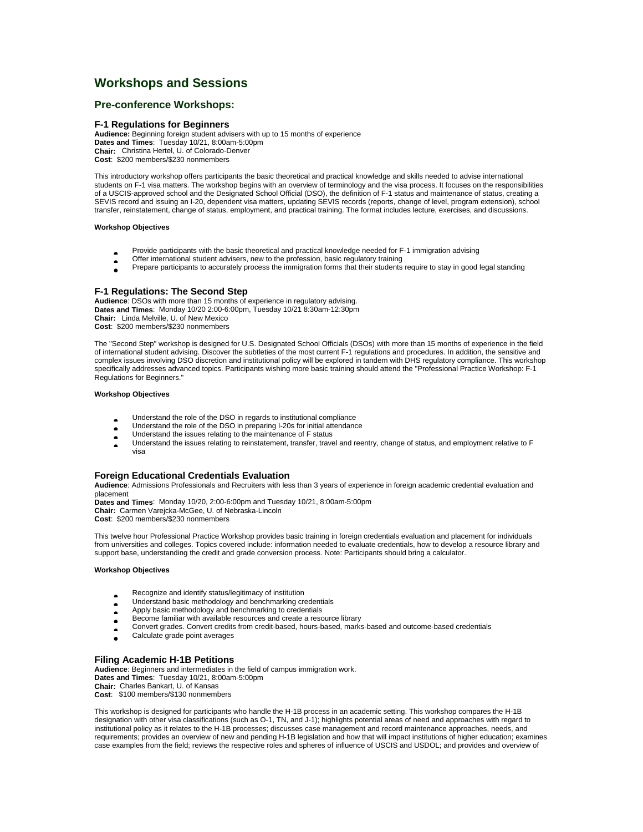# **Workshops and Sessions**

# **Pre-conference Workshops:**

## **F-1 Regulations for Beginners**

**Audience:** Beginning foreign student advisers with up to 15 months of experience **Dates and Times**: Tuesday 10/21, 8:00am-5:00pm **Chair:** Christina Hertel, U. of Colorado-Denver **Cost**: \$200 members/\$230 nonmembers

This introductory workshop offers participants the basic theoretical and practical knowledge and skills needed to advise international students on F-1 visa matters. The workshop begins with an overview of terminology and the visa process. It focuses on the responsibilities of a USCIS-approved school and the Designated School Official (DSO), the definition of F-1 status and maintenance of status, creating a SEVIS record and issuing an I-20, dependent visa matters, updating SEVIS records (reports, change of level, program extension), school transfer, reinstatement, change of status, employment, and practical training. The format includes lecture, exercises, and discussions.

#### **Workshop Objectives**

- Provide participants with the basic theoretical and practical knowledge needed for F-1 immigration advising
- Offer international student advisers, new to the profession, basic regulatory training<br>• Prepare participants to accurately process the immigration forms that their students
- Prepare participants to accurately process the immigration forms that their students require to stay in good legal standing

# **F-1 Regulations: The Second Step**

**Audience**: DSOs with more than 15 months of experience in regulatory advising. **Dates and Times**: Monday 10/20 2:00-6:00pm, Tuesday 10/21 8:30am-12:30pm **Chair:** Linda Melville, U. of New Mexico **Cost**: \$200 members/\$230 nonmembers

The "Second Step" workshop is designed for U.S. Designated School Officials (DSOs) with more than 15 months of experience in the field of international student advising. Discover the subtleties of the most current F-1 regulations and procedures. In addition, the sensitive and complex issues involving DSO discretion and institutional policy will be explored in tandem with DHS regulatory compliance. This workshop specifically addresses advanced topics. Participants wishing more basic training should attend the "Professional Practice Workshop: F-1 Regulations for Beginners."

## **Workshop Objectives**

- Understand the role of the DSO in regards to institutional compliance<br>• Understand the role of the DSO in preparing I-20s for initial attendance
- Understand the role of the DSO in preparing I-20s for initial attendance<br>• Understand the issues relating to the maintenance of F status
- Understand the issues relating to the maintenance of F status<br>• Understand the issues relating to reinstatement, transfer, trave
- Understand the issues relating to reinstatement, transfer, travel and reentry, change of status, and employment relative to F visa

## **Foreign Educational Credentials Evaluation**

**Audience**: Admissions Professionals and Recruiters with less than 3 years of experience in foreign academic credential evaluation and placement

**Dates and Times**: Monday 10/20, 2:00-6:00pm and Tuesday 10/21, 8:00am-5:00pm **Chair:** Carmen Varejcka-McGee, U. of Nebraska-Lincoln

**Cost**: \$200 members/\$230 nonmembers

This twelve hour Professional Practice Workshop provides basic training in foreign credentials evaluation and placement for individuals from universities and colleges. Topics covered include: information needed to evaluate credentials, how to develop a resource library and support base, understanding the credit and grade conversion process. Note: Participants should bring a calculator.

# **Workshop Objectives**

- Recognize and identify status/legitimacy of institution<br>• Understand basic methodology and benchmarking cre
- Understand basic methodology and benchmarking credentials
- Apply basic methodology and benchmarking to credentials<br>• Become familiar with available resources and create a reso
- Become familiar with available resources and create a resource library
- Convert grades. Convert credits from credit-based, hours-based, marks-based and outcome-based credentials
- Calculate grade point averages

## **Filing Academic H-1B Petitions**

**Audience**: Beginners and intermediates in the field of campus immigration work. **Dates and Times**: Tuesday 10/21, 8:00am-5:00pm **Chair:** Charles Bankart, U. of Kansas **Cost**: \$100 members/\$130 nonmembers

This workshop is designed for participants who handle the H-1B process in an academic setting. This workshop compares the H-1B designation with other visa classifications (such as O-1, TN, and J-1); highlights potential areas of need and approaches with regard to institutional policy as it relates to the H-1B processes; discusses case management and record maintenance approaches, needs, and requirements; provides an overview of new and pending H-1B legislation and how that will impact institutions of higher education; examines case examples from the field; reviews the respective roles and spheres of influence of USCIS and USDOL; and provides and overview of